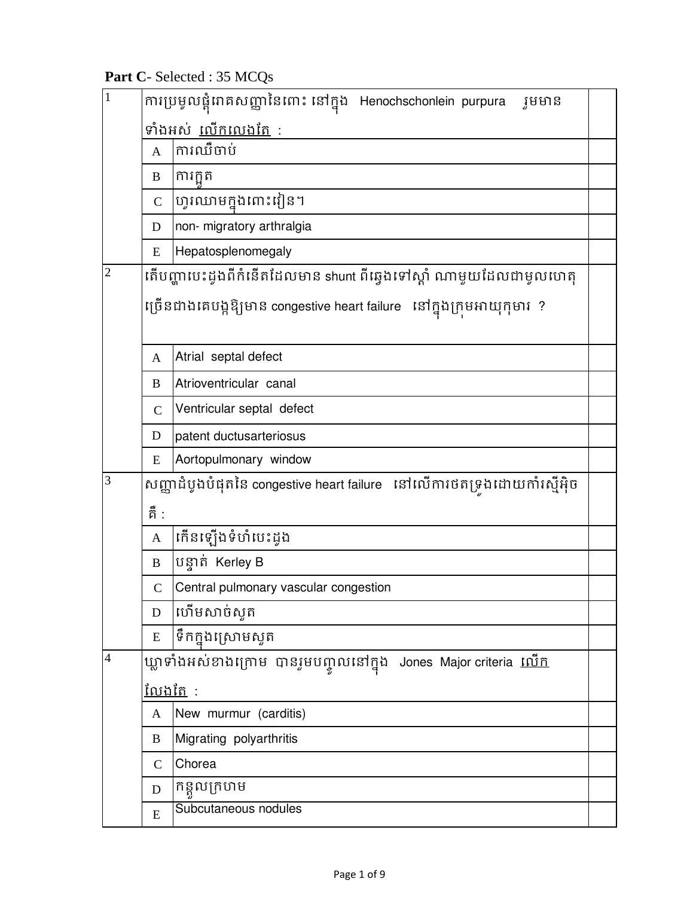**Part C**- Selected : 35 MCQs

| $\mathbf{1}$   |                | ការប្រមូលផ្តុំរោគសញ្ញានៃពោះ នៅក្នុង Henochschonlein purpura<br>រូមមាន   |  |  |
|----------------|----------------|-------------------------------------------------------------------------|--|--|
|                |                | ទាំងអស់ <u>លើកលេងតែ</u> :                                               |  |  |
|                | $\mathbf{A}$   | ការឈឺចាប់                                                               |  |  |
|                | B              | ការកួត                                                                  |  |  |
|                | $\mathbf C$    | ហូរឈាមក្នុងពោះវៀន។                                                      |  |  |
|                | D              | non- migratory arthralgia                                               |  |  |
|                | E              | Hepatosplenomegaly                                                      |  |  |
| $\overline{2}$ |                | តើបញ្ហាបេះដូងពីកំនើតដែលមាន shunt ពីឆ្វេងទៅស្ដាំ ណាមួយដែលជាមូលហេតុ       |  |  |
|                |                | ច្រើនជាងគេបង្កឱ្យមាន congestive heart failure   នៅក្នុងក្រមអាយុកុមារ  ? |  |  |
|                | $\mathbf{A}$   | Atrial septal defect                                                    |  |  |
|                | B              | Atrioventricular canal                                                  |  |  |
|                | $\mathsf{C}$   | Ventricular septal defect                                               |  |  |
|                | D              | patent ductusarteriosus                                                 |  |  |
|                | E              | Aortopulmonary window                                                   |  |  |
| 3              |                | សញ្ញាដំបូងបំផុតនៃ congestive heart failure នៅលើការថតទ្រងដោយកាំរស្មីអ៊ិច |  |  |
|                | គឺ :           |                                                                         |  |  |
|                | $\mathbf{A}$   | កើនឡើងទំហំយះដូង                                                         |  |  |
|                | $\, {\bf B}$   | បន្ទាត់ Kerley B                                                        |  |  |
|                | $\mathcal{C}$  | Central pulmonary vascular congestion                                   |  |  |
|                | D              | ហើមសាច់សូត                                                              |  |  |
|                | ${\bf E}$      | ទឹកក្នុងស្រោមស្ងួត                                                      |  |  |
| 4              |                | ឃ្លាទាំងអស់ខាងក្រោម បានរូមបញ្ចូលនៅក្នុង Jones Major criteria <u>លើក</u> |  |  |
|                | <u>លែងតែ</u> : |                                                                         |  |  |
|                | A              | New murmur (carditis)                                                   |  |  |
|                | B              | Migrating polyarthritis                                                 |  |  |
|                | $\mathcal{C}$  | Chorea                                                                  |  |  |
|                | D              | កន្ទួលក្រហម                                                             |  |  |
|                | E              | Subcutaneous nodules                                                    |  |  |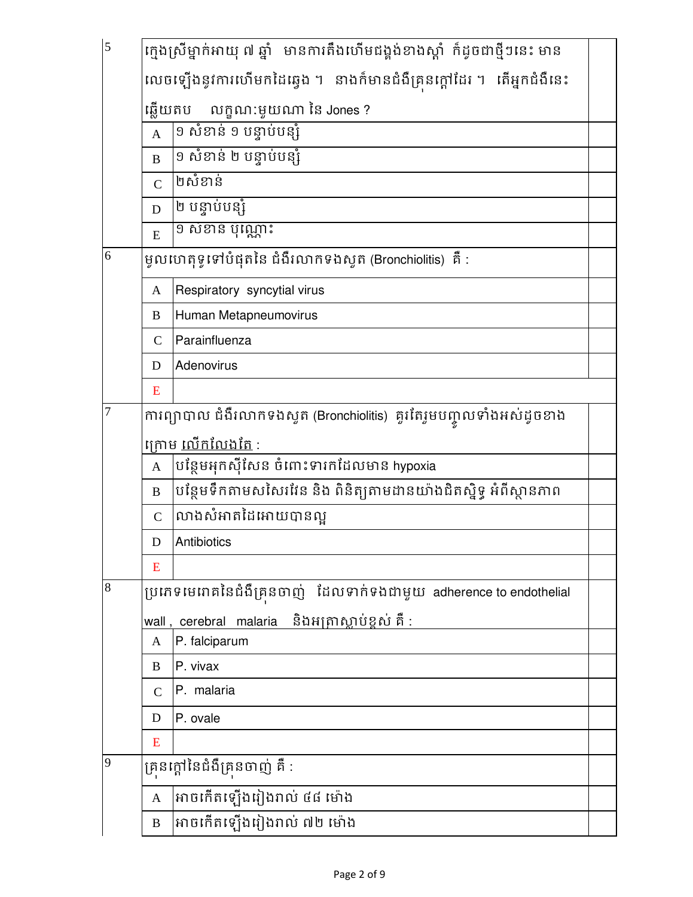| 5 |                                                                       | ក្មេងស្រីម្នាក់អាយុ ៧ ឆ្នាំ   មានការតឹងហើមជង្គង់ខាងស្តាំ  ក៏ដូចជាថ្មីៗនេះ មាន |  |  |  |
|---|-----------------------------------------------------------------------|-------------------------------------------------------------------------------|--|--|--|
|   |                                                                       | លេចឡើងនូវការហើមកដៃឆ្វេង ។ នាងក៏មានជំងឺគ្រនក្តៅដែរ ។ តើអ្នកជំងឺនេះ             |  |  |  |
|   |                                                                       | ឆ្លើយតប លក្ខណ:មួយណា នៃ Jones ?                                                |  |  |  |
|   | $\mathbf{A}$                                                          | ១ សំខាន់ ១ បន្ទាប់បន្សំ                                                       |  |  |  |
|   | $\bf{B}$                                                              | ១ សំខាន់ ២ បន្ទាប់បន្សំ                                                       |  |  |  |
|   | $\overline{C}$                                                        | ២សំខាន់                                                                       |  |  |  |
|   | D                                                                     | ២ បន្ទាប់បន្សំ                                                                |  |  |  |
|   | E                                                                     | <u>១ សំខាន់ ប៉ុណ្ណោះ</u>                                                      |  |  |  |
| 6 |                                                                       | ម្ទូលហេតុទូទៅបំផុតនៃ ជំងឺរលាកទងស្ទួត (Bronchiolitis)  គឺ :                    |  |  |  |
|   | A                                                                     | Respiratory syncytial virus                                                   |  |  |  |
|   | B                                                                     | Human Metapneumovirus                                                         |  |  |  |
|   | $\mathcal{C}$                                                         | Parainfluenza                                                                 |  |  |  |
|   | D                                                                     | Adenovirus                                                                    |  |  |  |
|   | E                                                                     |                                                                               |  |  |  |
| 7 | ការព្យាបាល ជំងឺរលាកទងសូត (Bronchiolitis)  គួរតែរួមបញ្ចូលទាំងអស់ដូចខាង |                                                                               |  |  |  |
|   |                                                                       | ក្រោម <u>លើកលែងតែ</u> :                                                       |  |  |  |
|   | $\mathbf{A}$                                                          | បន្ថែមអុកស៊ីសែន ចំពោះទារកដែលមាន hypoxia                                       |  |  |  |
|   | $\bf{B}$                                                              | បន្ថែមទឹកតាមសសៃរវែន និង ពិនិត្យតាមដានយ៉ាងជិតស្និទ្ធ អំពីស្ថានភាព              |  |  |  |
|   | $\mathcal{C}$                                                         | លាងសំអាតដៃអោយបានល្អ                                                           |  |  |  |
|   | D                                                                     | Antibiotics                                                                   |  |  |  |
|   | E                                                                     |                                                                               |  |  |  |
| 8 |                                                                       | ប្រភេទមេរោគនៃជំងឺគ្រុនចាញ់ ដែលទាក់ទងជាមួយ adherence to endothelial            |  |  |  |
|   |                                                                       | <u>wall , cerebral malaria  និងអត្រាស្លាប់ខ្ពស់ គឺ :</u>                      |  |  |  |
|   | A                                                                     | P. falciparum                                                                 |  |  |  |
|   | B                                                                     | P. vivax                                                                      |  |  |  |
|   | $\mathcal{C}$                                                         | P. malaria                                                                    |  |  |  |
|   | D                                                                     | P. ovale                                                                      |  |  |  |
|   | E                                                                     |                                                                               |  |  |  |
| 9 |                                                                       | គ្រនក្តៅនៃជំងឺគ្រនចាញ់ គឺ :                                                   |  |  |  |
|   | $\mathbf{A}$                                                          | អាចកើតឡើងរៀងរាល់ <mark>៤៨ ម</mark> ៉ោង                                        |  |  |  |
|   | $\, {\bf B}$                                                          | អាចកើតឡើងរៀងរាល់ ៧២ ម៉ោង                                                      |  |  |  |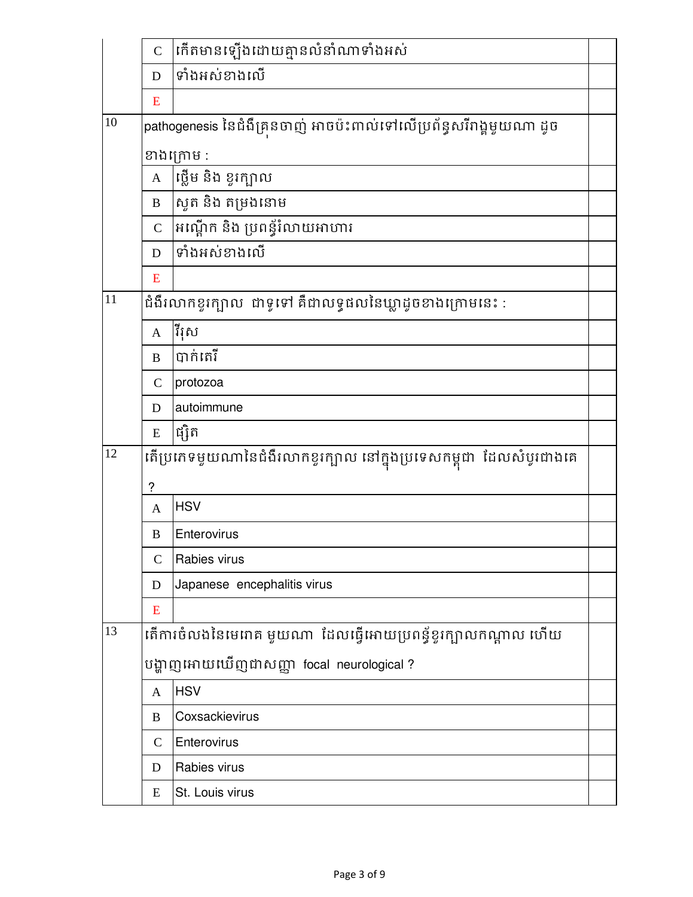|    | $\overline{C}$ | កើតមានឡើងដោយគ្មានលំនាំណាទាំងអស់                                     |  |
|----|----------------|---------------------------------------------------------------------|--|
|    | D              | ទាំងអស់ខាងលើ                                                        |  |
|    | E              |                                                                     |  |
| 10 |                | pathogenesis នៃជំងឺគ្រនចាញ់ អាចប៉ះពាល់ទៅលើប្រព័ន្ធសរីរាង្គមួយណា ដូច |  |
|    |                | ខាងក្រោម :                                                          |  |
|    | $\mathbf{A}$   | ផ្លើម និង ខួរក្បាល                                                  |  |
|    | $\bf{B}$       | សូត និង តម្រងនោម                                                    |  |
|    | $\overline{C}$ | អណ្តើក និង ប្រពន្ធ័រំលាយអាហារ                                       |  |
|    | D              | ទាំងអស់ខាងលើ                                                        |  |
|    | E              |                                                                     |  |
| 11 |                | ជំងឺរលាកខួរក្បាល  ជាទូទៅ គឺជាលទ្ធផលនៃឃ្លាដូចខាងក្រោមនេះ :           |  |
|    | $\mathbf{A}$   | រ៉ៃស្រ                                                              |  |
|    | B              | បាក់តេរី                                                            |  |
|    | $\mathsf{C}$   | protozoa                                                            |  |
|    | D              | autoimmune                                                          |  |
|    | E              | ផ្សិត                                                               |  |
| 12 |                | តើប្រភេទមួយណានៃជំងឺរលាកខូរក្បាល នៅក្នុងប្រទេសកម្ពុជា ដែលសំបូរជាងគេ  |  |
|    | ?              |                                                                     |  |
|    | A              | <b>HSV</b>                                                          |  |
|    | B              | Enterovirus                                                         |  |
|    | $\mathcal{C}$  | Rabies virus                                                        |  |
|    | D              | Japanese encephalitis virus                                         |  |
|    | E              |                                                                     |  |
| 13 |                | តើការចំលងនៃមេរោគ មួយណា  ដែលធ្វើអោយប្រពន្ធ័ខ្ចរក្បាលកណ្តាល ហើយ       |  |
|    |                | បង្ហាញអោយឃើញជាសញ្ញា focal neurological?                             |  |
|    | $\mathbf{A}$   | <b>HSV</b>                                                          |  |
|    | B              | Coxsackievirus                                                      |  |
|    | $\mathsf{C}$   | Enterovirus                                                         |  |
|    | D              | Rabies virus                                                        |  |
|    | E              | St. Louis virus                                                     |  |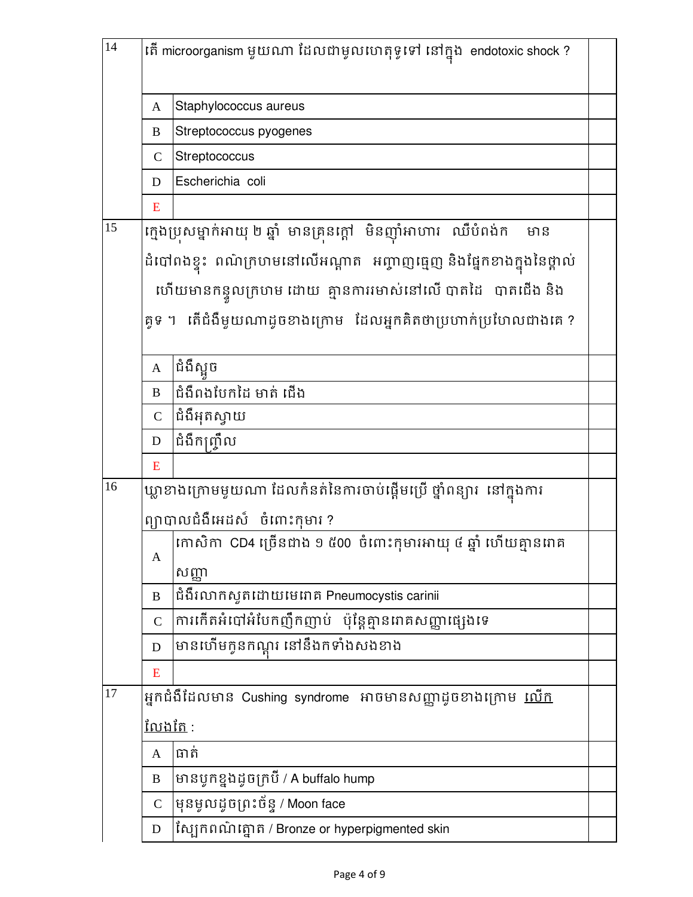| Staphylococcus aureus<br>A<br>Streptococcus pyogenes<br>B<br>Streptococcus<br>$\mathcal{C}$<br>Escherichia coli<br>D<br>E |  |
|---------------------------------------------------------------------------------------------------------------------------|--|
|                                                                                                                           |  |
|                                                                                                                           |  |
|                                                                                                                           |  |
|                                                                                                                           |  |
|                                                                                                                           |  |
| 15<br>ក្មេងប្រុសម្នាក់អាយុ ២ ឆ្នាំ មានគ្រុនក្ដៅ  មិនញ៉ាំអាហារ  ឈឺបំពង់ក<br>មាន                                            |  |
| ដំបៅពងខ្ទះ ពណ៌ក្រហមនៅលើអណ្តាត អញ្ចាញធ្មេញ និងផ្នែកខាងក្នុងនៃថ្ពាល់                                                        |  |
| ហើយមានកន្ទូលក្រហម ដោយ  គ្មានការមោស់នៅលើ បាតដៃ   បាតជើង និង                                                                |  |
| គូទ ។ តើជំងឺមួយណាដូចខាងក្រោម ដែលអ្នកគិតថាប្រហាក់ប្រហែលជាងគេ?                                                              |  |
| ជំងឺសួច<br>$\mathbf{A}$                                                                                                   |  |
| ជំងឺពងបែកដៃ មាត់ ជើង<br>$\bf{B}$                                                                                          |  |
| ជំងឺអុតស្វាយ<br>$\mathsf{C}$                                                                                              |  |
| ជំងឺកញ្ច្រឹល<br>$\mathbf D$                                                                                               |  |
| E                                                                                                                         |  |
| 16<br>ឃ្លាខាងក្រោមមួយណា ដែលកំនត់នៃការចាប់ផ្តើមប្រើ ថ្នាំពន្យារ នៅក្នុងការ                                                 |  |
| ព្យាបាលជំងឺអេដស៍ ចំពោះកុមារ ?                                                                                             |  |
| កោសិកា CD4 ច្រើនជាង ១ ៥00 ចំពោះកុមារអាយុ ៥ ឆ្នាំ ហើយគ្មានរោគ<br>A                                                         |  |
| សញ្ញា                                                                                                                     |  |
| ជំងឺរលាកស្ទួតដោយមេរោគ Pneumocystis carinii<br>B                                                                           |  |
| ការកើតអំបៅអំបែកញឹកញាប់ ប៉ុន្តែគ្មានពាគសញ្ញាផ្សេងទេ<br>$\mathsf{C}$                                                        |  |
| មានហើមកូនកណ្តុរ នៅនឹងកទាំងសងខាង<br>D                                                                                      |  |
| E                                                                                                                         |  |
| 17<br>អ្នកជំងឺដែលមាន Cushing syndrome អាចមានសញ្ញាដូចខាងក្រោម <u>ឈើក</u>                                                   |  |
| <u>លែងតែ :</u>                                                                                                            |  |
| ធាត់<br>A                                                                                                                 |  |
| មានបូកខ្នងដូចក្របី / A buffalo hump<br>B                                                                                  |  |
| មុនមូលដូចព្រះច័ន្ទ / Moon face<br>$\mathbf C$                                                                             |  |
| ស្បែកពណ៌ត្នោត / Bronze or hyperpigmented skin<br>D                                                                        |  |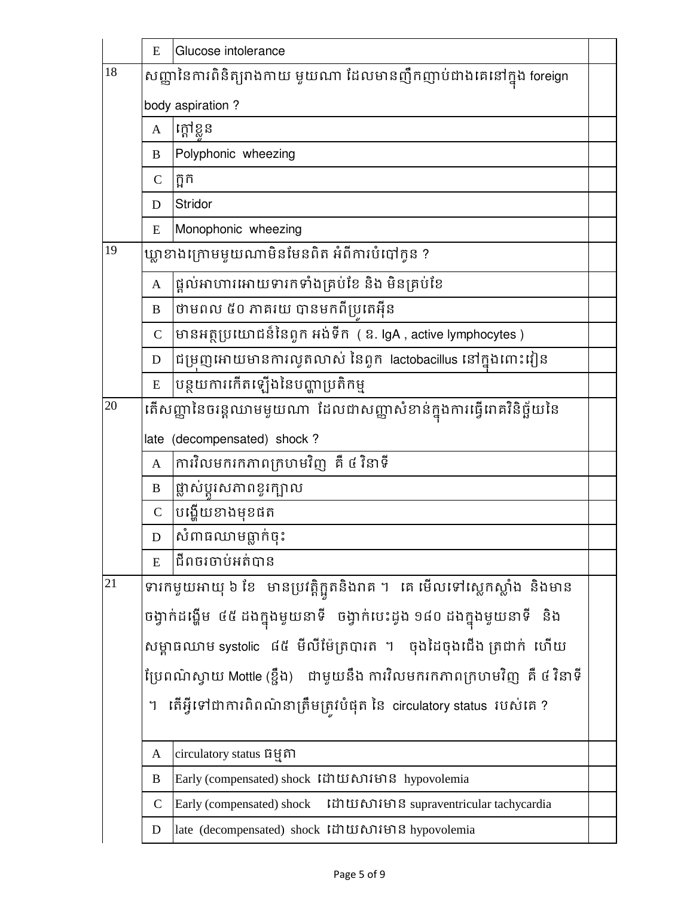|        | E                                                                        | Glucose intolerance                                                        |  |  |
|--------|--------------------------------------------------------------------------|----------------------------------------------------------------------------|--|--|
| $18\,$ |                                                                          | សញ្ញានៃការពិនិត្យរាងកាយ មួយណា ដែលមានញឹកញាប់ជាងគេនៅក្នុង foreign            |  |  |
|        |                                                                          | body aspiration?                                                           |  |  |
|        | A                                                                        | ក្ដៅខ្លួន                                                                  |  |  |
|        | B                                                                        | Polyphonic wheezing                                                        |  |  |
|        | $\mathbf C$                                                              | ក្អក                                                                       |  |  |
|        | D                                                                        | <b>Stridor</b>                                                             |  |  |
|        | E                                                                        | Monophonic wheezing                                                        |  |  |
| 19     |                                                                          | ឃ្លាខាងក្រោមមួយណាមិនមែនពិត អំពីការបំបៅក្ងន ?                               |  |  |
|        | $\mathbf{A}$                                                             | ផ្តល់អាហារអោយទារកទាំងគ្រប់ខែ និង មិនគ្រប់ខែ                                |  |  |
|        | B                                                                        |                                                                            |  |  |
|        | $\overline{C}$                                                           | មានអត្ថប្រយោជន៏នៃពួក អង់ទីក (ឧ. lgA , active lymphocytes )                 |  |  |
|        | $\mathbf D$                                                              | ដៃម្រញអោយមានការល្វួតលាស់ នៃពួក  lactobacillus នៅក្នុងពោះវៀន                |  |  |
|        | E                                                                        | បន្ថយការកើតឡើងនៃបញ្ហាប្រតិកម្ម                                             |  |  |
| 20     |                                                                          | តើសញ្ញានៃចរន្តឈាមមួយណា ដែលជាសញ្ញាសំខាន់ក្នុងការធ្វើរោគវិនិច្ឆ័យនៃ          |  |  |
|        |                                                                          | late (decompensated) shock?                                                |  |  |
|        | $\mathbf{A}$                                                             | ការវិលមករកភាពក្រហមវិញ គឺ ៥ វិនាទី                                          |  |  |
|        | B                                                                        | ផ្លាស់ប្តូរសភាពខ្ទុរក្បាល                                                  |  |  |
|        | $\overline{C}$                                                           | បង្ហើយខាងមុខផត                                                             |  |  |
|        | D                                                                        | សំពាធឈាមធ្លាក់ចុះ                                                          |  |  |
|        | E                                                                        | ដីពចរចាប់អត់បាន                                                            |  |  |
| 21     |                                                                          | ទារកមួយអាយុ ៦ ខែ   មានប្រវត្តិក្អួតនិងរាគ ។   គេ មើលទៅស្លេកស្លាំង  និងមាន  |  |  |
|        |                                                                          | ចង្វាក់ដង្ហើម ៤៥ ដងក្នុងមូយនាទី  ចង្វាក់បេះដូង ១៨០ ដងក្នុងមូយនាទី  និង     |  |  |
|        |                                                                          | សម្ពាធឈាម systolic ៨៥ មីលីម៉ែត្របារត ។   ចុងដៃចុងជើង ត្រជាក់  ហើយ          |  |  |
|        |                                                                          | ប្រែពណ៌ស្វាយ Mottle (ខ្ចឹង)    ជាមួយនឹង ការវិលមករកភាពក្រហមវិញ  គឺ ៥ វិនាទី |  |  |
|        | ាតីអ្វីទៅជាការពិពណ៌នាត្រឹមត្រូវបំផុត នៃ circulatory status របស់គេ ?<br>។ |                                                                            |  |  |
|        |                                                                          |                                                                            |  |  |
|        | A                                                                        | circulatory status ធម្មតា                                                  |  |  |
|        | B                                                                        | Early (compensated) shock រ៉ៃប៉ាយសារមាន hypovolemia                        |  |  |
|        | $\mathbf C$                                                              | Early (compensated) shock 「th Li fu fo i supraventricular tachycardia      |  |  |
|        | D                                                                        | late (decompensated) shock រ៉ៃបាយសារមាន hypovolemia                        |  |  |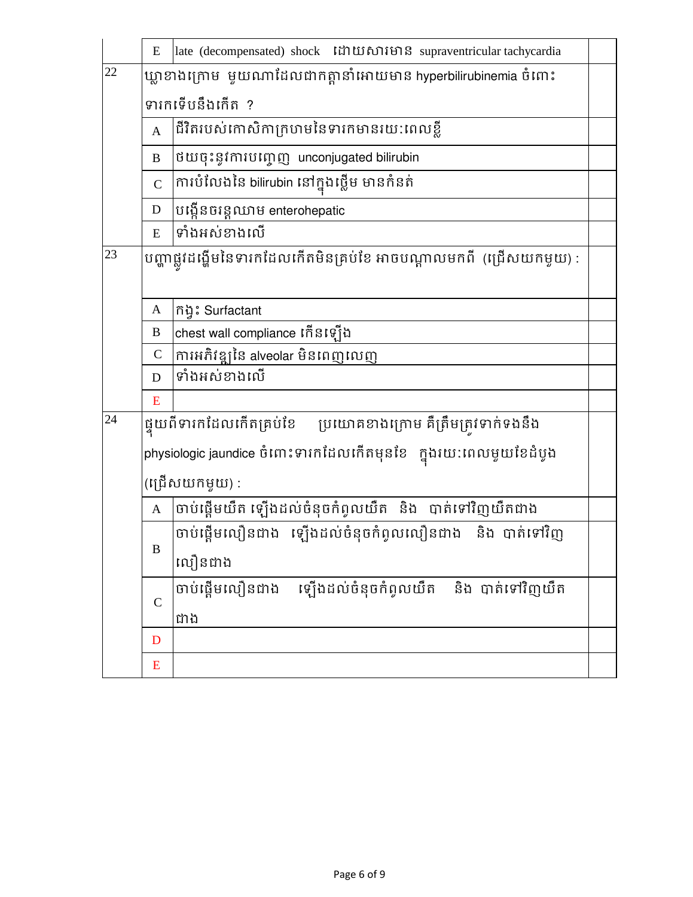|    | E                | late (decompensated) shock រ៉ៃប៉ាយសារមាន supraventricular tachycardia |  |  |
|----|------------------|-----------------------------------------------------------------------|--|--|
| 22 |                  | ឃ្លាខាងក្រោម  មួយណាដែលជាកត្តានាំអោយមាន hyperbilirubinemia ចំពោះ       |  |  |
|    |                  | ទារកទើបនឹងកើត ?                                                       |  |  |
|    | $\mathbf{A}$     | ជីវិតរបស់កោសិកាក្រហមនៃទារកមានរយ:ពេលខ្លី                               |  |  |
|    | B                | ថយចុះនូវការបញ្ចេញ unconjugated bilirubin                              |  |  |
|    | $\overline{C}$   | ការបំលែងនៃ bilirubin នៅក្នុងថ្លើម មានកំនត់                            |  |  |
|    | D                | បង្កើនចរន្តឈាម enterohepatic                                          |  |  |
|    | ${\bf E}$        | ទាំងអស់ខាងលើ                                                          |  |  |
| 23 |                  | បញ្ហាផ្លូវដង្ហើមនៃទារកដែលកើតមិនគ្រប់ខែ អាចបណ្តាលមកពី  (ជ្រើសយកមួយ) :  |  |  |
|    |                  |                                                                       |  |  |
|    | A                | កិង្វះ Surfactant                                                     |  |  |
|    | B                | chest wall compliance កើនឡើង                                          |  |  |
|    | $\mathcal{C}$    | ការអភិវឌ្ឍនៃ alveolar មិនពេញលេញ                                       |  |  |
|    | D                | ទាំងអស់ខាងលើ                                                          |  |  |
|    | E                |                                                                       |  |  |
| 24 |                  | ផ្ទុយពីទារកដែលកើតគ្រប់ខែ ប្រយោគខាងក្រោម គឺត្រឹមត្រូវទាក់ទងនឹង         |  |  |
|    |                  | physiologic jaundice ចំពោះទារកដែលកើតមុនខែ   ក្នុងរយ:ពេលមួយខែដំបូង     |  |  |
|    | (ព្រើសយកម្វុយ) : |                                                                       |  |  |
|    | A                | ចាប់ផ្តើមយឺត ឡើងដល់ចំនុចកំពូលយឺត និង បាត់ទៅវិញយឺតជាង                  |  |  |
|    |                  | ចាប់ផ្តើមលឿនជាង ឡើងដល់ចំនុចកំពូលលឿនជាង និង បាត់ទៅវិញ                  |  |  |
|    | B                | លឿនជាង                                                                |  |  |
|    |                  | ្រើងដល់ចំនុចកំពូលយឺត និង បាត់ទៅវិញយឺត<br>ចាប់ផ្តើមលឿនជាង              |  |  |
|    | $\mathcal{C}$    | ជាង                                                                   |  |  |
|    | D                |                                                                       |  |  |
|    | ${\bf E}$        |                                                                       |  |  |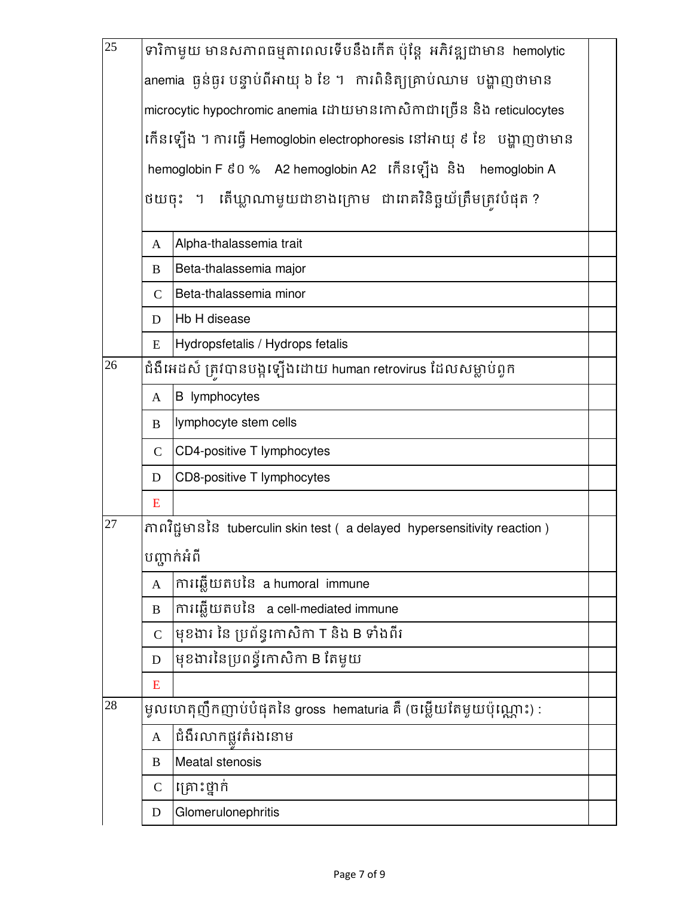| $\overline{25}$ |                                                                     | ទារិកាមួយ មានសភាពធម្មតាពេលទើបនឹងកើត ប៉ុន្តែ អភិវឌ្ឍជាមាន hemolytic         |  |  |  |  |
|-----------------|---------------------------------------------------------------------|----------------------------------------------------------------------------|--|--|--|--|
|                 |                                                                     | anemia ធ្ងន់ធ្ងរ បន្ទាប់ពីអាយុ ៦ ខែ ។  ការពិនិត្យគ្រាប់ឈាម  បង្ហាញថាមាន    |  |  |  |  |
|                 | microcytic hypochromic anemia ដោយមានកោសិកាជាច្រើន និង reticulocytes |                                                                            |  |  |  |  |
|                 |                                                                     | កើនឡើង ។ ការធ្វើ Hemoglobin electrophoresis នៅអាយុ ៩ ខែ   បង្ហាញថាមាន      |  |  |  |  |
|                 |                                                                     | hemoglobin F ៩០ % A2 hemoglobin A2 កើនឡើង និង hemoglobin A                 |  |  |  |  |
|                 | ថយចុះ ។ តើឃ្លាណាមួយជាខាងក្រោម ជាពាគវិនិច្ឆយ័ត្រឹមត្រូវបំផុត?        |                                                                            |  |  |  |  |
|                 | $\mathbf{A}$                                                        | Alpha-thalassemia trait                                                    |  |  |  |  |
|                 | B                                                                   | Beta-thalassemia major                                                     |  |  |  |  |
|                 | $\mathsf{C}$                                                        | Beta-thalassemia minor                                                     |  |  |  |  |
|                 | D                                                                   | Hb H disease                                                               |  |  |  |  |
|                 | E                                                                   | Hydropsfetalis / Hydrops fetalis                                           |  |  |  |  |
| 26              |                                                                     | ជំងឺអេដស៍ ត្រវបានបង្កឡើងដោយ human retrovirus ដែលសម្លាប់ពួក                 |  |  |  |  |
|                 | A                                                                   | <b>B</b> lymphocytes                                                       |  |  |  |  |
|                 | B                                                                   | lymphocyte stem cells                                                      |  |  |  |  |
|                 | $\mathsf{C}$                                                        | CD4-positive T lymphocytes                                                 |  |  |  |  |
|                 | D                                                                   | CD8-positive T lymphocytes                                                 |  |  |  |  |
|                 | E                                                                   |                                                                            |  |  |  |  |
| 27              |                                                                     | ភាពវិជ្ជមាននៃ tuberculin skin test ( a delayed hypersensitivity reaction ) |  |  |  |  |
|                 |                                                                     | បញ្ជាក់អំពី                                                                |  |  |  |  |
|                 | A                                                                   | ការឆ្លើយតបនៃ a humoral immune                                              |  |  |  |  |
|                 | B                                                                   | ការឆ្លើយតបនៃ a cell-mediated immune                                        |  |  |  |  |
|                 | $\mathbf C$                                                         | មុខងារ នៃ ប្រព័ន្ធកោសិកា T និង B ទាំងពីរ                                   |  |  |  |  |
|                 | D                                                                   | មុខងារនៃប្រពន្ធ័កោសិកា B តែមួយ                                             |  |  |  |  |
|                 | E                                                                   |                                                                            |  |  |  |  |
| 28              |                                                                     | ម្ចូលហេតុញឹកញាប់បំផុតនៃ gross hematuria គឺ (ចម្លើយតែមួយប៉ុណ្ណោះ) :         |  |  |  |  |
|                 | $\mathbf{A}$                                                        | ជំងឺរលាកផ្លូវតំរងនោម                                                       |  |  |  |  |
|                 | B                                                                   | <b>Meatal stenosis</b>                                                     |  |  |  |  |
|                 | $\mathcal{C}$                                                       | គ្រោះថ្នាក់                                                                |  |  |  |  |
|                 | D                                                                   | Glomerulonephritis                                                         |  |  |  |  |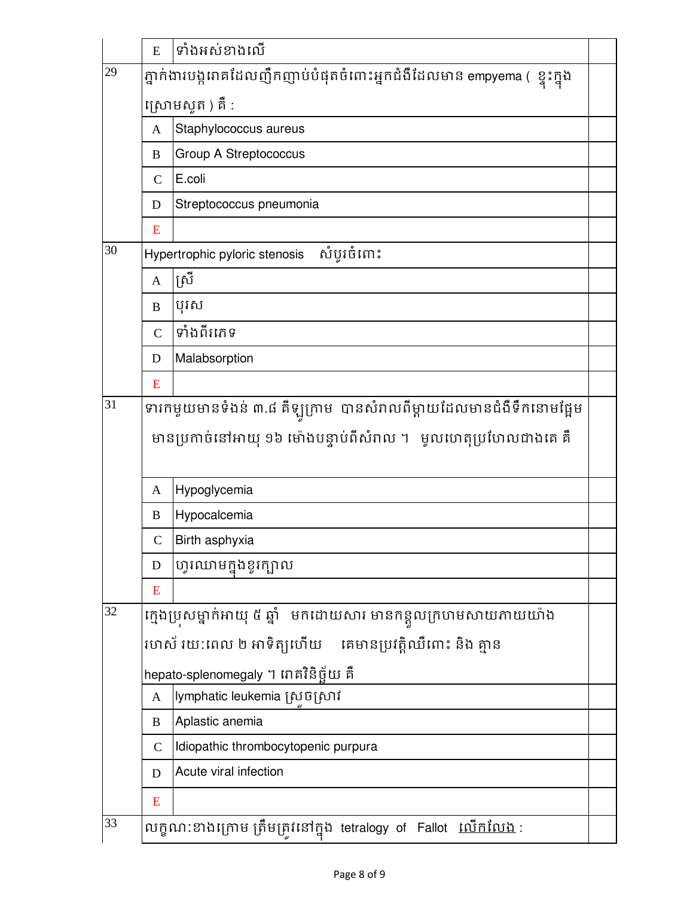|    | E                                                         | ទាំងអស់ខាងលើ                                                             |  |
|----|-----------------------------------------------------------|--------------------------------------------------------------------------|--|
| 29 |                                                           | ភ្នាក់ងារបង្ករោគដែលញឹកញាប់បំផុតចំពោះអ្នកជំងឺដែលមាន empyema (  ខ្ទុះក្នុង |  |
|    |                                                           | ស្រោមសូត ) គឺ :                                                          |  |
|    | A                                                         | Staphylococcus aureus                                                    |  |
|    | B                                                         | Group A Streptococcus                                                    |  |
|    | $\overline{C}$                                            | E.coli                                                                   |  |
|    | D                                                         | Streptococcus pneumonia                                                  |  |
|    | E                                                         |                                                                          |  |
| 30 |                                                           | សំបូរចំពោះ<br>Hypertrophic pyloric stenosis                              |  |
|    | A                                                         | ស្រី                                                                     |  |
|    | B                                                         | បុរស                                                                     |  |
|    | $\overline{C}$                                            | ទាំងពីរភេទ                                                               |  |
|    | D                                                         | Malabsorption                                                            |  |
|    | E                                                         |                                                                          |  |
| 31 |                                                           | ទារកមួយមានទំងន់ ៣.៨ គឺឡូក្រាម  បានសំរាលពីម្តាយដែលមានជំងឺទឹកនោមផ្អែម      |  |
|    |                                                           | មានប្រកាច់នៅអាយុ ១៦ ម៉ោងបន្ទាប់ពីសំរាល ។   មូលហេតុប្រហែលជាងគេ គឺ         |  |
|    | A                                                         | Hypoglycemia                                                             |  |
|    | B                                                         | Hypocalcemia                                                             |  |
|    | $\mathsf{C}$                                              | Birth asphyxia                                                           |  |
|    | D                                                         | ហូរឈាមក្នុងខួរក្បាល                                                      |  |
|    | E                                                         |                                                                          |  |
| 32 |                                                           | ក្មេងប្រសម្នាក់អាយុ ៥ ឆ្នាំ   មកដោយសារ មានកន្តលក្រហមសាយភាយយ៉ាង           |  |
|    | រហស័ រយ:ពេល ២ អាទិត្យហើយ     គេមានប្រវត្តិឈឺពោះ និង គ្មាន |                                                                          |  |
|    |                                                           | hepato-splenomegaly ។ រោគវិនិច្ឆ័យ គឺ                                    |  |
|    | A                                                         | lymphatic leukemia ស្រចស្រាវ                                             |  |
|    | B                                                         | Aplastic anemia                                                          |  |
|    | $\mathsf{C}$                                              | Idiopathic thrombocytopenic purpura                                      |  |
|    | D                                                         | Acute viral infection                                                    |  |
|    | E                                                         |                                                                          |  |
| 33 |                                                           | លក្ខណ:ខាងក្រោម ត្រឹមត្រវនៅក្នុង tetralogy of Fallot <u>លើកលែង</u> :      |  |